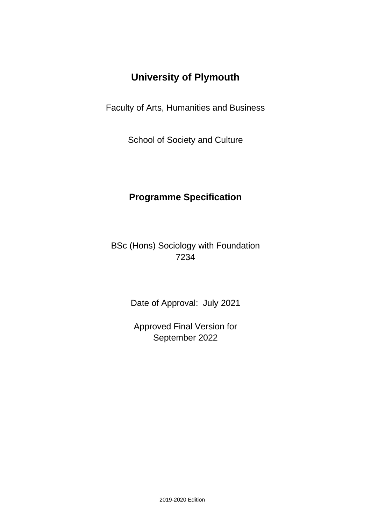# **University of Plymouth**

Faculty of Arts, Humanities and Business

School of Society and Culture

## **Programme Specification**

BSc (Hons) Sociology with Foundation 7234

Date of Approval: July 2021

Approved Final Version for September 2022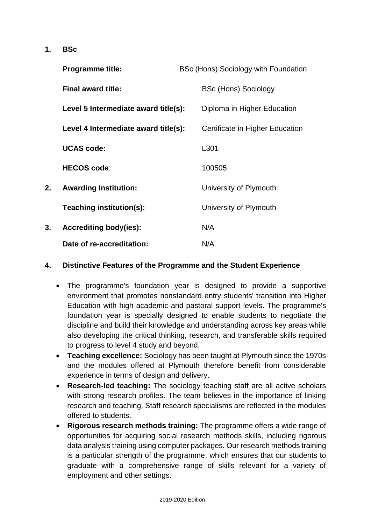**1. BSc**

|    | <b>Programme title:</b>              | BSc (Hons) Sociology with Foundation |  |
|----|--------------------------------------|--------------------------------------|--|
|    | <b>Final award title:</b>            | <b>BSc (Hons) Sociology</b>          |  |
|    | Level 5 Intermediate award title(s): | Diploma in Higher Education          |  |
|    | Level 4 Intermediate award title(s): | Certificate in Higher Education      |  |
|    | <b>UCAS code:</b>                    | L301                                 |  |
|    | <b>HECOS code:</b>                   | 100505                               |  |
| 2. | <b>Awarding Institution:</b>         | University of Plymouth               |  |
|    | Teaching institution(s):             | University of Plymouth               |  |
| 3. | <b>Accrediting body(ies):</b>        | N/A                                  |  |
|    | Date of re-accreditation:            | N/A                                  |  |

## **4. Distinctive Features of the Programme and the Student Experience**

- The programme's foundation year is designed to provide a supportive environment that promotes nonstandard entry students' transition into Higher Education with high academic and pastoral support levels. The programme's foundation year is specially designed to enable students to negotiate the discipline and build their knowledge and understanding across key areas while also developing the critical thinking, research, and transferable skills required to progress to level 4 study and beyond.
- **Teaching excellence:** Sociology has been taught at Plymouth since the 1970s and the modules offered at Plymouth therefore benefit from considerable experience in terms of design and delivery.
- **Research-led teaching:** The sociology teaching staff are all active scholars with strong research profiles. The team believes in the importance of linking research and teaching. Staff research specialisms are reflected in the modules offered to students.
- **Rigorous research methods training:** The programme offers a wide range of opportunities for acquiring social research methods skills, including rigorous data analysis training using computer packages. Our research methods training is a particular strength of the programme, which ensures that our students to graduate with a comprehensive range of skills relevant for a variety of employment and other settings.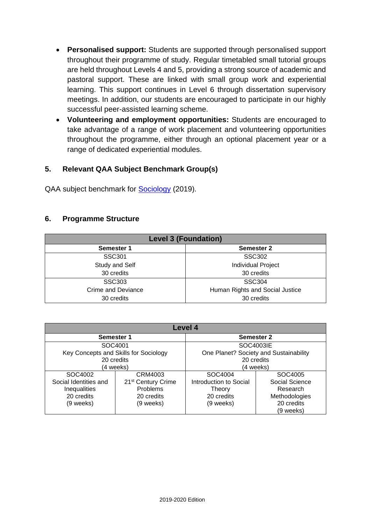- **Personalised support:** Students are supported through personalised support throughout their programme of study. Regular timetabled small tutorial groups are held throughout Levels 4 and 5, providing a strong source of academic and pastoral support. These are linked with small group work and experiential learning. This support continues in Level 6 through dissertation supervisory meetings. In addition, our students are encouraged to participate in our highly successful peer-assisted learning scheme.
- **Volunteering and employment opportunities:** Students are encouraged to take advantage of a range of work placement and volunteering opportunities throughout the programme, either through an optional placement year or a range of dedicated experiential modules.

## **5. Relevant QAA Subject Benchmark Group(s)**

QAA subject benchmark for **Sociology** (2019).

#### **6. Programme Structure**

| <b>Level 3 (Foundation)</b> |                                 |  |  |  |  |  |  |  |  |  |  |
|-----------------------------|---------------------------------|--|--|--|--|--|--|--|--|--|--|
| Semester 1                  | <b>Semester 2</b>               |  |  |  |  |  |  |  |  |  |  |
| SSC301                      | <b>SSC302</b>                   |  |  |  |  |  |  |  |  |  |  |
| Study and Self              | <b>Individual Project</b>       |  |  |  |  |  |  |  |  |  |  |
| 30 credits                  | 30 credits                      |  |  |  |  |  |  |  |  |  |  |
| <b>SSC303</b>               | <b>SSC304</b>                   |  |  |  |  |  |  |  |  |  |  |
| Crime and Deviance          | Human Rights and Social Justice |  |  |  |  |  |  |  |  |  |  |
| 30 credits                  | 30 credits                      |  |  |  |  |  |  |  |  |  |  |

| <b>Level 4</b>        |                                       |                                        |                |  |  |  |  |  |  |  |  |  |  |
|-----------------------|---------------------------------------|----------------------------------------|----------------|--|--|--|--|--|--|--|--|--|--|
|                       | Semester 1                            | <b>Semester 2</b>                      |                |  |  |  |  |  |  |  |  |  |  |
| SOC4001               |                                       |                                        | SOC4003IE      |  |  |  |  |  |  |  |  |  |  |
|                       | Key Concepts and Skills for Sociology | One Planet? Society and Sustainability |                |  |  |  |  |  |  |  |  |  |  |
|                       | 20 credits                            | 20 credits                             |                |  |  |  |  |  |  |  |  |  |  |
|                       | (4 weeks)                             | (4 weeks)                              |                |  |  |  |  |  |  |  |  |  |  |
| SOC4002               | CRM4003                               | SOC4004                                | SOC4005        |  |  |  |  |  |  |  |  |  |  |
| Social Identities and | 21 <sup>st</sup> Century Crime        | Introduction to Social                 | Social Science |  |  |  |  |  |  |  |  |  |  |
| <b>Inequalities</b>   | Problems                              | Theory                                 | Research       |  |  |  |  |  |  |  |  |  |  |
| 20 credits            | 20 credits                            | 20 credits                             | Methodologies  |  |  |  |  |  |  |  |  |  |  |
| (9 weeks)             | (9 weeks)                             | (9 weeks)                              | 20 credits     |  |  |  |  |  |  |  |  |  |  |
|                       |                                       |                                        | (9 weeks)      |  |  |  |  |  |  |  |  |  |  |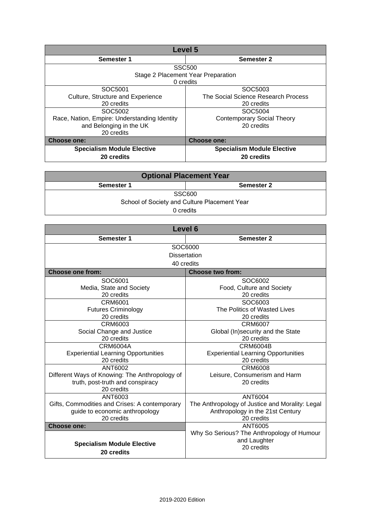|                                              | Level 5                             |
|----------------------------------------------|-------------------------------------|
| Semester 1                                   | Semester 2                          |
|                                              | <b>SSC500</b>                       |
|                                              | Stage 2 Placement Year Preparation  |
|                                              | 0 credits                           |
| SOC5001                                      | SOC5003                             |
| Culture, Structure and Experience            | The Social Science Research Process |
| 20 credits                                   | 20 credits                          |
| SOC5002                                      | SOC5004                             |
| Race, Nation, Empire: Understanding Identity | <b>Contemporary Social Theory</b>   |
| and Belonging in the UK                      | 20 credits                          |
| 20 credits                                   |                                     |
| <b>Choose one:</b>                           | <b>Choose one:</b>                  |
| <b>Specialism Module Elective</b>            | <b>Specialism Module Elective</b>   |
| 20 credits                                   | 20 credits                          |

| <b>Optional Placement Year</b>               |            |  |  |  |  |  |  |  |  |  |  |
|----------------------------------------------|------------|--|--|--|--|--|--|--|--|--|--|
| <b>Semester 1</b>                            | Semester 2 |  |  |  |  |  |  |  |  |  |  |
|                                              | SSC600     |  |  |  |  |  |  |  |  |  |  |
| School of Society and Culture Placement Year |            |  |  |  |  |  |  |  |  |  |  |
| 0 credits                                    |            |  |  |  |  |  |  |  |  |  |  |

| Level 6                                        |                                                 |  |  |  |  |  |  |  |  |  |  |  |
|------------------------------------------------|-------------------------------------------------|--|--|--|--|--|--|--|--|--|--|--|
| Semester 1                                     | Semester 2                                      |  |  |  |  |  |  |  |  |  |  |  |
|                                                | SOC6000                                         |  |  |  |  |  |  |  |  |  |  |  |
|                                                | <b>Dissertation</b>                             |  |  |  |  |  |  |  |  |  |  |  |
|                                                | 40 credits                                      |  |  |  |  |  |  |  |  |  |  |  |
| <b>Choose one from:</b>                        | <b>Choose two from:</b>                         |  |  |  |  |  |  |  |  |  |  |  |
| SOC6001                                        | SOC6002                                         |  |  |  |  |  |  |  |  |  |  |  |
| Media, State and Society                       | Food, Culture and Society                       |  |  |  |  |  |  |  |  |  |  |  |
| 20 credits                                     | 20 credits                                      |  |  |  |  |  |  |  |  |  |  |  |
| CRM6001                                        | SOC6003                                         |  |  |  |  |  |  |  |  |  |  |  |
| <b>Futures Criminology</b>                     | The Politics of Wasted Lives                    |  |  |  |  |  |  |  |  |  |  |  |
| 20 credits                                     | 20 credits                                      |  |  |  |  |  |  |  |  |  |  |  |
| <b>CRM6003</b>                                 | <b>CRM6007</b>                                  |  |  |  |  |  |  |  |  |  |  |  |
| Social Change and Justice                      | Global (In)security and the State               |  |  |  |  |  |  |  |  |  |  |  |
| 20 credits                                     | 20 credits                                      |  |  |  |  |  |  |  |  |  |  |  |
| <b>CRM6004A</b>                                | <b>CRM6004B</b>                                 |  |  |  |  |  |  |  |  |  |  |  |
| <b>Experiential Learning Opportunities</b>     | <b>Experiential Learning Opportunities</b>      |  |  |  |  |  |  |  |  |  |  |  |
| 20 credits                                     | 20 credits                                      |  |  |  |  |  |  |  |  |  |  |  |
| ANT6002                                        | <b>CRM6008</b>                                  |  |  |  |  |  |  |  |  |  |  |  |
| Different Ways of Knowing: The Anthropology of | Leisure, Consumerism and Harm                   |  |  |  |  |  |  |  |  |  |  |  |
| truth, post-truth and conspiracy               | 20 credits                                      |  |  |  |  |  |  |  |  |  |  |  |
| 20 credits                                     |                                                 |  |  |  |  |  |  |  |  |  |  |  |
| ANT6003                                        | <b>ANT6004</b>                                  |  |  |  |  |  |  |  |  |  |  |  |
| Gifts, Commodities and Crises: A contemporary  | The Anthropology of Justice and Morality: Legal |  |  |  |  |  |  |  |  |  |  |  |
| guide to economic anthropology                 | Anthropology in the 21st Century                |  |  |  |  |  |  |  |  |  |  |  |
| 20 credits                                     | 20 credits                                      |  |  |  |  |  |  |  |  |  |  |  |
| Choose one:                                    | ANT6005                                         |  |  |  |  |  |  |  |  |  |  |  |
|                                                | Why So Serious? The Anthropology of Humour      |  |  |  |  |  |  |  |  |  |  |  |
| <b>Specialism Module Elective</b>              | and Laughter                                    |  |  |  |  |  |  |  |  |  |  |  |
| 20 credits                                     | 20 credits                                      |  |  |  |  |  |  |  |  |  |  |  |
|                                                |                                                 |  |  |  |  |  |  |  |  |  |  |  |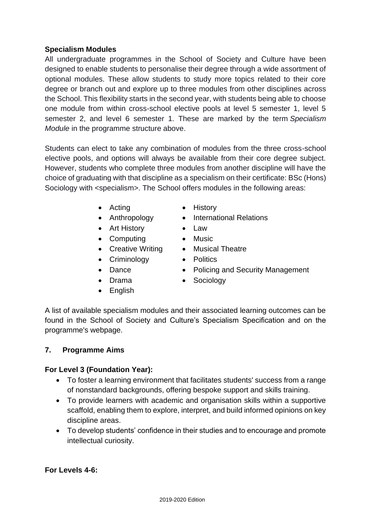## **Specialism Modules**

All undergraduate programmes in the School of Society and Culture have been designed to enable students to personalise their degree through a wide assortment of optional modules. These allow students to study more topics related to their core degree or branch out and explore up to three modules from other disciplines across the School. This flexibility starts in the second year, with students being able to choose one module from within cross-school elective pools at level 5 semester 1, level 5 semester 2, and level 6 semester 1. These are marked by the term *Specialism Module* in the programme structure above.

Students can elect to take any combination of modules from the three cross-school elective pools, and options will always be available from their core degree subject. However, students who complete three modules from another discipline will have the choice of graduating with that discipline as a specialism on their certificate: BSc (Hons) Sociology with <specialism>. The School offers modules in the following areas:

- Acting History
- 
- Art History Law
- Computing Music
- Creative Writing Musical Theatre
- Criminology Politics
- 
- 
- English
- 
- Anthropology International Relations
	-
	-
	-
- Dance Policing and Security Management
- Drama Sociology

A list of available specialism modules and their associated learning outcomes can be found in the School of Society and Culture's Specialism Specification and on the programme's webpage.

## **7. Programme Aims**

## **For Level 3 (Foundation Year):**

- To foster a learning environment that facilitates students' success from a range of nonstandard backgrounds, offering bespoke support and skills training.
- To provide learners with academic and organisation skills within a supportive scaffold, enabling them to explore, interpret, and build informed opinions on key discipline areas.
- To develop students' confidence in their studies and to encourage and promote intellectual curiosity.

## **For Levels 4-6:**

- -
	-
	-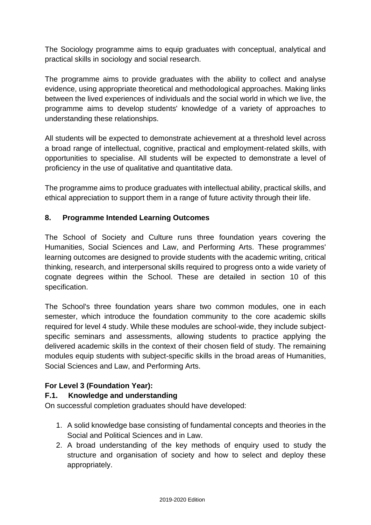The Sociology programme aims to equip graduates with conceptual, analytical and practical skills in sociology and social research.

The programme aims to provide graduates with the ability to collect and analyse evidence, using appropriate theoretical and methodological approaches. Making links between the lived experiences of individuals and the social world in which we live, the programme aims to develop students' knowledge of a variety of approaches to understanding these relationships.

All students will be expected to demonstrate achievement at a threshold level across a broad range of intellectual, cognitive, practical and employment-related skills, with opportunities to specialise. All students will be expected to demonstrate a level of proficiency in the use of qualitative and quantitative data.

The programme aims to produce graduates with intellectual ability, practical skills, and ethical appreciation to support them in a range of future activity through their life.

## **8. Programme Intended Learning Outcomes**

The School of Society and Culture runs three foundation years covering the Humanities, Social Sciences and Law, and Performing Arts. These programmes' learning outcomes are designed to provide students with the academic writing, critical thinking, research, and interpersonal skills required to progress onto a wide variety of cognate degrees within the School. These are detailed in section 10 of this specification.

The School's three foundation years share two common modules, one in each semester, which introduce the foundation community to the core academic skills required for level 4 study. While these modules are school-wide, they include subjectspecific seminars and assessments, allowing students to practice applying the delivered academic skills in the context of their chosen field of study. The remaining modules equip students with subject-specific skills in the broad areas of Humanities, Social Sciences and Law, and Performing Arts.

## **For Level 3 (Foundation Year):**

## **F.1. Knowledge and understanding**

On successful completion graduates should have developed:

- 1. A solid knowledge base consisting of fundamental concepts and theories in the Social and Political Sciences and in Law.
- 2. A broad understanding of the key methods of enquiry used to study the structure and organisation of society and how to select and deploy these appropriately.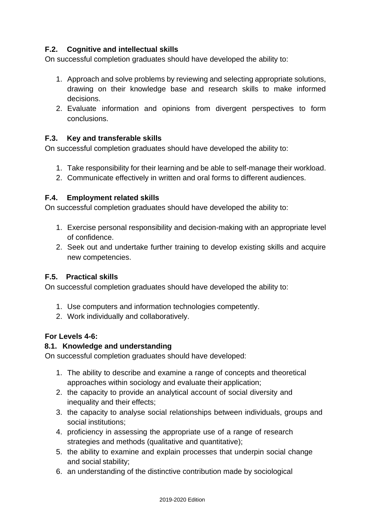## **F.2. Cognitive and intellectual skills**

On successful completion graduates should have developed the ability to:

- 1. Approach and solve problems by reviewing and selecting appropriate solutions, drawing on their knowledge base and research skills to make informed decisions.
- 2. Evaluate information and opinions from divergent perspectives to form conclusions.

## **F.3. Key and transferable skills**

On successful completion graduates should have developed the ability to:

- 1. Take responsibility for their learning and be able to self-manage their workload.
- 2. Communicate effectively in written and oral forms to different audiences.

#### **F.4. Employment related skills**

On successful completion graduates should have developed the ability to:

- 1. Exercise personal responsibility and decision-making with an appropriate level of confidence.
- 2. Seek out and undertake further training to develop existing skills and acquire new competencies.

#### **F.5. Practical skills**

On successful completion graduates should have developed the ability to:

- 1. Use computers and information technologies competently.
- 2. Work individually and collaboratively.

## **For Levels 4-6:**

#### **8.1. Knowledge and understanding**

On successful completion graduates should have developed:

- 1. The ability to describe and examine a range of concepts and theoretical approaches within sociology and evaluate their application;
- 2. the capacity to provide an analytical account of social diversity and inequality and their effects;
- 3. the capacity to analyse social relationships between individuals, groups and social institutions;
- 4. proficiency in assessing the appropriate use of a range of research strategies and methods (qualitative and quantitative);
- 5. the ability to examine and explain processes that underpin social change and social stability;
- 6. an understanding of the distinctive contribution made by sociological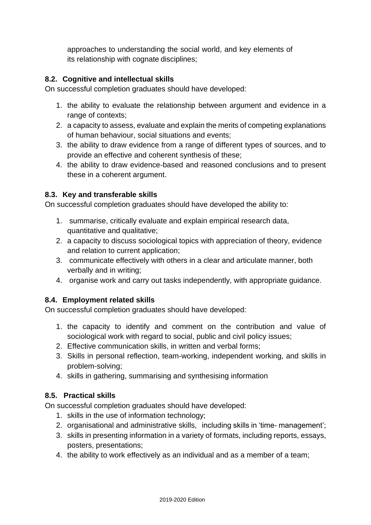approaches to understanding the social world, and key elements of its relationship with cognate disciplines;

## **8.2. Cognitive and intellectual skills**

On successful completion graduates should have developed:

- 1. the ability to evaluate the relationship between argument and evidence in a range of contexts;
- 2. a capacity to assess, evaluate and explain the merits of competing explanations of human behaviour, social situations and events;
- 3. the ability to draw evidence from a range of different types of sources, and to provide an effective and coherent synthesis of these;
- 4. the ability to draw evidence-based and reasoned conclusions and to present these in a coherent argument.

## **8.3. Key and transferable skills**

On successful completion graduates should have developed the ability to:

- 1. summarise, critically evaluate and explain empirical research data, quantitative and qualitative;
- 2. a capacity to discuss sociological topics with appreciation of theory, evidence and relation to current application;
- 3. communicate effectively with others in a clear and articulate manner, both verbally and in writing;
- 4. organise work and carry out tasks independently, with appropriate guidance.

## **8.4. Employment related skills**

On successful completion graduates should have developed:

- 1. the capacity to identify and comment on the contribution and value of sociological work with regard to social, public and civil policy issues;
- 2. Effective communication skills, in written and verbal forms;
- 3. Skills in personal reflection, team-working, independent working, and skills in problem-solving;
- 4. skills in gathering, summarising and synthesising information

## **8.5. Practical skills**

On successful completion graduates should have developed:

- 1. skills in the use of information technology;
- 2. organisational and administrative skills, including skills in 'time- management';
- 3. skills in presenting information in a variety of formats, including reports, essays, posters, presentations;
- 4. the ability to work effectively as an individual and as a member of a team;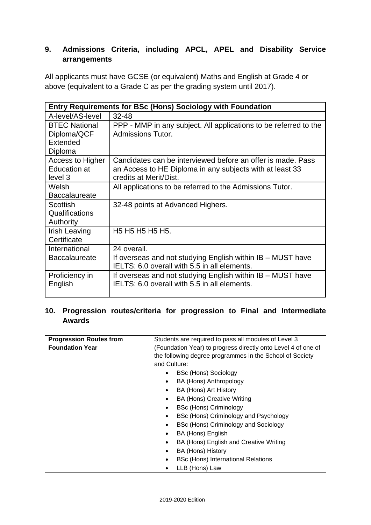## **9. Admissions Criteria, including APCL, APEL and Disability Service arrangements**

All applicants must have GCSE (or equivalent) Maths and English at Grade 4 or above (equivalent to a Grade C as per the grading system until 2017).

|                      | <b>Entry Requirements for BSc (Hons) Sociology with Foundation</b> |  |  |  |  |  |  |  |  |  |  |  |
|----------------------|--------------------------------------------------------------------|--|--|--|--|--|--|--|--|--|--|--|
| A-level/AS-level     | $32 - 48$                                                          |  |  |  |  |  |  |  |  |  |  |  |
| <b>BTEC National</b> | PPP - MMP in any subject. All applications to be referred to the   |  |  |  |  |  |  |  |  |  |  |  |
| Diploma/QCF          | Admissions Tutor.                                                  |  |  |  |  |  |  |  |  |  |  |  |
| Extended             |                                                                    |  |  |  |  |  |  |  |  |  |  |  |
| Diploma              |                                                                    |  |  |  |  |  |  |  |  |  |  |  |
| Access to Higher     | Candidates can be interviewed before an offer is made. Pass        |  |  |  |  |  |  |  |  |  |  |  |
| <b>Education at</b>  | an Access to HE Diploma in any subjects with at least 33           |  |  |  |  |  |  |  |  |  |  |  |
| level 3              | credits at Merit/Dist.                                             |  |  |  |  |  |  |  |  |  |  |  |
| Welsh                | All applications to be referred to the Admissions Tutor.           |  |  |  |  |  |  |  |  |  |  |  |
| <b>Baccalaureate</b> |                                                                    |  |  |  |  |  |  |  |  |  |  |  |
| <b>Scottish</b>      | 32-48 points at Advanced Highers.                                  |  |  |  |  |  |  |  |  |  |  |  |
| Qualifications       |                                                                    |  |  |  |  |  |  |  |  |  |  |  |
| Authority            |                                                                    |  |  |  |  |  |  |  |  |  |  |  |
| <b>Irish Leaving</b> | H <sub>5</sub> H <sub>5</sub> H <sub>5</sub> H <sub>5</sub> .      |  |  |  |  |  |  |  |  |  |  |  |
| Certificate          |                                                                    |  |  |  |  |  |  |  |  |  |  |  |
| International        | 24 overall.                                                        |  |  |  |  |  |  |  |  |  |  |  |
| <b>Baccalaureate</b> | If overseas and not studying English within IB - MUST have         |  |  |  |  |  |  |  |  |  |  |  |
|                      | IELTS: 6.0 overall with 5.5 in all elements.                       |  |  |  |  |  |  |  |  |  |  |  |
| Proficiency in       | If overseas and not studying English within IB – MUST have         |  |  |  |  |  |  |  |  |  |  |  |
| English              | IELTS: 6.0 overall with 5.5 in all elements.                       |  |  |  |  |  |  |  |  |  |  |  |
|                      |                                                                    |  |  |  |  |  |  |  |  |  |  |  |

## **10. Progression routes/criteria for progression to Final and Intermediate Awards**

| <b>Progression Routes from</b> | Students are required to pass all modules of Level 3          |
|--------------------------------|---------------------------------------------------------------|
| <b>Foundation Year</b>         | (Foundation Year) to progress directly onto Level 4 of one of |
|                                | the following degree programmes in the School of Society      |
|                                | and Culture:                                                  |
|                                | <b>BSc (Hons) Sociology</b>                                   |
|                                | BA (Hons) Anthropology<br>$\bullet$                           |
|                                | BA (Hons) Art History<br>$\bullet$                            |
|                                | <b>BA (Hons) Creative Writing</b><br>$\bullet$                |
|                                | <b>BSc (Hons) Criminology</b><br>$\bullet$                    |
|                                | BSc (Hons) Criminology and Psychology<br>$\bullet$            |
|                                | BSc (Hons) Criminology and Sociology<br>$\bullet$             |
|                                | BA (Hons) English<br>$\bullet$                                |
|                                | BA (Hons) English and Creative Writing<br>$\bullet$           |
|                                | BA (Hons) History<br>$\bullet$                                |
|                                | <b>BSc (Hons) International Relations</b><br>$\bullet$        |
|                                | LLB (Hons) Law<br>$\bullet$                                   |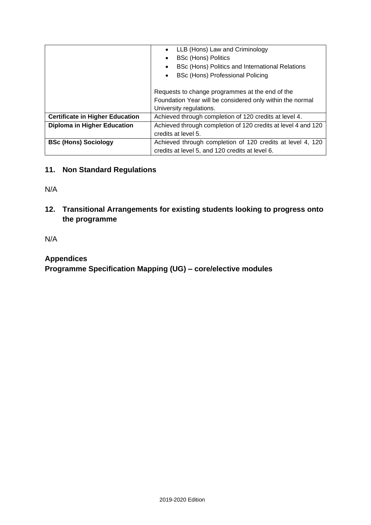|                                        | LLB (Hons) Law and Criminology<br>$\bullet$                   |  |  |  |  |  |  |  |  |  |  |  |
|----------------------------------------|---------------------------------------------------------------|--|--|--|--|--|--|--|--|--|--|--|
|                                        | <b>BSc (Hons) Politics</b><br>$\bullet$                       |  |  |  |  |  |  |  |  |  |  |  |
|                                        | BSc (Hons) Politics and International Relations<br>$\bullet$  |  |  |  |  |  |  |  |  |  |  |  |
|                                        | BSc (Hons) Professional Policing<br>$\bullet$                 |  |  |  |  |  |  |  |  |  |  |  |
|                                        |                                                               |  |  |  |  |  |  |  |  |  |  |  |
|                                        | Requests to change programmes at the end of the               |  |  |  |  |  |  |  |  |  |  |  |
|                                        | Foundation Year will be considered only within the normal     |  |  |  |  |  |  |  |  |  |  |  |
|                                        | University regulations.                                       |  |  |  |  |  |  |  |  |  |  |  |
| <b>Certificate in Higher Education</b> | Achieved through completion of 120 credits at level 4.        |  |  |  |  |  |  |  |  |  |  |  |
| <b>Diploma in Higher Education</b>     | Achieved through completion of 120 credits at level 4 and 120 |  |  |  |  |  |  |  |  |  |  |  |
|                                        | credits at level 5.                                           |  |  |  |  |  |  |  |  |  |  |  |
| <b>BSc (Hons) Sociology</b>            | Achieved through completion of 120 credits at level 4, 120    |  |  |  |  |  |  |  |  |  |  |  |
|                                        | credits at level 5, and 120 credits at level 6.               |  |  |  |  |  |  |  |  |  |  |  |

## **11. Non Standard Regulations**

N/A

**12. Transitional Arrangements for existing students looking to progress onto the programme**

N/A

## **Appendices**

**Programme Specification Mapping (UG) – core/elective modules**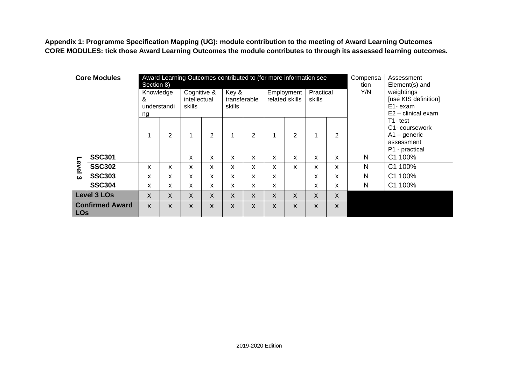**Appendix 1: Programme Specification Mapping (UG): module contribution to the meeting of Award Learning Outcomes CORE MODULES: tick those Award Learning Outcomes the module contributes to through its assessed learning outcomes.** 

|                                      | <b>Core Modules</b> | Section 8)                          |   | Award Learning Outcomes contributed to (for more information see |   |                                 |                |              |                              |                     |              | Compensa<br>tion | Assessment<br>Element(s) and<br>weightings<br>[use KIS definition]<br>E1-exam<br>$E2 -$ clinical exam |
|--------------------------------------|---------------------|-------------------------------------|---|------------------------------------------------------------------|---|---------------------------------|----------------|--------------|------------------------------|---------------------|--------------|------------------|-------------------------------------------------------------------------------------------------------|
|                                      |                     | Knowledge<br>&<br>understandi<br>ng |   | Cognitive &<br>intellectual<br>skills                            |   | Key &<br>transferable<br>skills |                |              | Employment<br>related skills | Practical<br>skills |              | Y/N              |                                                                                                       |
|                                      |                     | 1                                   | 2 | 1                                                                | 2 | $\mathbf{1}$                    | $\overline{2}$ | 1            | 2                            |                     | 2            | assessment       | T1-test<br>C <sub>1</sub> -coursework<br>$A1 -$ generic<br>P1 - practical                             |
|                                      | <b>SSC301</b>       |                                     |   | x                                                                | X | X                               | X              | X            | X                            | X                   | x            | N                | C1 100%                                                                                               |
| Level                                | <b>SSC302</b>       | x                                   | x | x                                                                | X | X                               | x              | x            | X                            | X                   | x            | N                | C1 100%                                                                                               |
| ω                                    | <b>SSC303</b>       | X                                   | x | X                                                                | X | X                               | x              | $\mathsf{x}$ |                              | $\mathsf{x}$        | $\mathsf{x}$ | N                | C1 100%                                                                                               |
|                                      | <b>SSC304</b>       | X                                   | X | x                                                                | X | X                               | X              | X            |                              | X                   | x            | N                | 100%<br>C <sub>1</sub>                                                                                |
|                                      | <b>Level 3 LOs</b>  | X                                   | X | X                                                                | X | X                               | X              | X            | X                            | X                   | X            |                  |                                                                                                       |
| <b>Confirmed Award</b><br><b>LOs</b> |                     | $\mathsf{x}$                        | X | X                                                                | X | $\boldsymbol{\mathsf{X}}$       | X              | X            | X                            | X                   | X            |                  |                                                                                                       |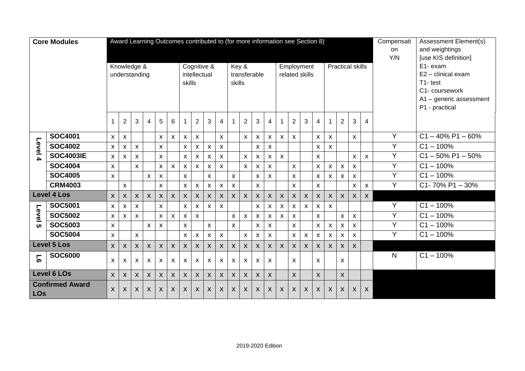|                                      | <b>Core Modules</b> |                           |                           |                           |                           |              |                    | Award Learning Outcomes contributed to (for more information see Section 8) |                           |                           |                    |              |                           |                |                |                           |                           |                           |                    |                           |                           |                         |                                           | Compensati     | Assessment Element(s)                  |
|--------------------------------------|---------------------|---------------------------|---------------------------|---------------------------|---------------------------|--------------|--------------------|-----------------------------------------------------------------------------|---------------------------|---------------------------|--------------------|--------------|---------------------------|----------------|----------------|---------------------------|---------------------------|---------------------------|--------------------|---------------------------|---------------------------|-------------------------|-------------------------------------------|----------------|----------------------------------------|
|                                      |                     |                           |                           |                           |                           |              |                    |                                                                             |                           |                           |                    |              |                           |                |                |                           |                           |                           |                    |                           |                           |                         |                                           | on<br>Y/N      | and weightings<br>[use KIS definition] |
| Knowledge &                          |                     |                           |                           |                           |                           |              |                    |                                                                             |                           | Cognitive &               |                    |              | Key &                     |                |                |                           |                           | Employment                |                    |                           |                           | <b>Practical skills</b> |                                           |                | E1- exam                               |
|                                      |                     |                           | understanding             |                           |                           |              |                    |                                                                             | intellectual              |                           |                    |              |                           | transferable   |                |                           |                           | related skills            |                    |                           |                           |                         |                                           |                | E2 - clinical exam                     |
|                                      |                     |                           |                           |                           |                           |              |                    | skills                                                                      |                           |                           |                    | skills       |                           |                |                |                           |                           |                           |                    |                           |                           |                         |                                           |                | T1-test                                |
|                                      |                     |                           |                           |                           |                           |              |                    |                                                                             |                           |                           |                    |              |                           |                |                |                           |                           |                           |                    |                           |                           |                         | C1- coursework<br>A1 - generic assessment |                |                                        |
|                                      |                     |                           |                           |                           |                           |              |                    |                                                                             |                           |                           |                    |              |                           |                |                |                           |                           |                           |                    |                           |                           |                         | P1 - practical                            |                |                                        |
|                                      |                     |                           |                           |                           |                           |              |                    |                                                                             |                           |                           |                    |              |                           |                |                |                           |                           |                           |                    |                           |                           |                         |                                           |                |                                        |
|                                      |                     |                           | $\overline{2}$            | 3                         | $\overline{\mathbf{4}}$   | 5            | $6\phantom{1}$     |                                                                             | $\overline{2}$            | 3                         | $\overline{4}$     | 1            | $\overline{2}$            | 3              | 4              |                           | $\overline{2}$            | 3                         | $\overline{4}$     | 1                         | $\overline{2}$            | 3                       | $\overline{4}$                            |                |                                        |
|                                      | <b>SOC4001</b>      | $\pmb{\chi}$              | X                         |                           |                           | $\mathsf{x}$ | $\mathsf{x}$       | $\pmb{\times}$                                                              | $\mathsf{X}$              |                           | $\pmb{\mathsf{X}}$ |              | $\boldsymbol{\mathsf{x}}$ | X              | X              | $\mathsf{x}$              | X                         |                           | $\pmb{\times}$     | $\pmb{\times}$            |                           | X                       |                                           | Y              | $C1 - 40\%$ P1 - 60%                   |
| Level                                | <b>SOC4002</b>      | $\pmb{\chi}$              | X                         | $\pmb{\mathsf{X}}$        |                           | $\mathsf{x}$ |                    | $\pmb{\times}$                                                              | $\pmb{\mathsf{X}}$        | $\mathsf X$               | $\pmb{\times}$     |              |                           | $\pmb{\times}$ | $\pmb{\times}$ |                           |                           |                           | $\pmb{\times}$     | $\boldsymbol{\mathsf{X}}$ |                           |                         |                                           | Y              | $C1 - 100\%$                           |
| $\blacktriangle$                     | <b>SOC4003IE</b>    | $\mathsf{x}$              | $\boldsymbol{\mathsf{x}}$ | X                         |                           | $\mathsf{x}$ |                    | X                                                                           | $\boldsymbol{\mathsf{x}}$ | $\mathsf{X}$              | X                  |              | X                         | X              | X              | $\mathsf{x}$              |                           |                           | X                  |                           |                           | $\pmb{\times}$          | $\pmb{\chi}$                              | Y              | $C1 - 50\%$ P1 - 50%                   |
|                                      | <b>SOC4004</b>      | $\boldsymbol{\mathsf{x}}$ |                           | X                         |                           | X            | X                  | X                                                                           | $\mathsf{x}$              | X                         | X                  |              | $\boldsymbol{\mathsf{x}}$ | X              | X              |                           | X                         |                           | X                  | X                         | $\boldsymbol{\mathsf{x}}$ | X                       |                                           | Y              | $C1 - 100%$                            |
|                                      | <b>SOC4005</b>      | $\mathsf{x}$              |                           |                           | $\mathsf{x}$              | $\mathsf{x}$ |                    | $\pmb{\times}$                                                              |                           | $\mathsf{X}$              |                    | $\mathsf{x}$ |                           | $\pmb{\times}$ | $\pmb{\chi}$   |                           | X                         |                           | $\mathsf{x}$       | $\pmb{\times}$            | $\mathsf{x}$              | $\mathsf{x}$            |                                           | Y              | $C1 - 100%$                            |
|                                      | <b>CRM4003</b>      |                           | X                         |                           |                           | $\mathsf{x}$ |                    | X                                                                           | X                         | $\mathsf{x}$              | X                  | X            |                           | X              |                |                           | X                         |                           | X                  |                           |                           | X                       | X                                         | Y              | $C1 - 70\% P1 - 30\%$                  |
|                                      | <b>Level 4 Los</b>  | $\mathsf{X}$              | X                         | $\boldsymbol{\mathsf{X}}$ | $\mathsf{x}$              | $\mathsf{X}$ | $\mathsf{x}$       | $\mathsf{x}$                                                                | $\mathsf{X}$              | $\mathsf{X}$              | $\mathsf{X}$       | $\mathsf{X}$ | X                         | X              | X              | $\boldsymbol{\mathsf{X}}$ | $\mathsf{X}$              | $\boldsymbol{\mathsf{X}}$ | X                  | $\mathsf{X}$              | $\mathsf{X}$              | X                       | X                                         |                |                                        |
|                                      | <b>SOC5001</b>      | $\pmb{\chi}$              | X                         | $\pmb{\times}$            |                           | $\mathsf{x}$ |                    | $\pmb{\times}$                                                              | $\pmb{\mathsf{X}}$        | $\mathsf X$               | $\pmb{\chi}$       |              |                           | $\pmb{\times}$ | X              | $\mathsf{x}$              | X                         | X                         | X                  | $\pmb{\times}$            |                           |                         |                                           | Y              | $C1 - 100\%$                           |
| Level                                | <b>SOC5002</b>      | $\pmb{\chi}$              | X                         | $\mathsf{x}$              |                           | X            | X                  | $\pmb{\mathsf{X}}$                                                          | $\mathsf{x}$              |                           |                    | $\mathsf{X}$ | $\boldsymbol{\mathsf{x}}$ | X              | X              | $\mathsf{x}$              | $\boldsymbol{\mathsf{x}}$ |                           | $\pmb{\times}$     |                           | $\pmb{\mathsf{X}}$        | $\pmb{\mathsf{X}}$      |                                           | Y              | $C1 - 100\%$                           |
| <u>ርክ</u>                            | <b>SOC5003</b>      | $\pmb{\chi}$              |                           |                           | $\mathsf{x}$              | $\mathsf{x}$ |                    | $\pmb{\times}$                                                              |                           | $\mathsf{x}$              |                    | $\mathsf{x}$ |                           | $\pmb{\chi}$   | $\pmb{\chi}$   |                           | $\pmb{\mathsf{X}}$        |                           | $\pmb{\times}$     | $\boldsymbol{\mathsf{x}}$ | $\mathsf{x}$              | $\pmb{\times}$          |                                           | Y              | $C1 - 100%$                            |
|                                      | <b>SOC5004</b>      | $\mathsf{x}$              |                           | X                         |                           |              |                    | $\mathsf{x}$                                                                | $\mathsf{X}$              | $\mathsf X$               | $\pmb{\mathsf{x}}$ |              | X                         | X              | X              |                           | X                         | X                         | $\pmb{\mathsf{X}}$ | $\pmb{\times}$            | $\boldsymbol{\mathsf{x}}$ | $\pmb{\times}$          |                                           | $\overline{Y}$ | $C1 - 100%$                            |
|                                      | <b>Level 5 Los</b>  | $\mathsf{X}$              | X                         | X                         | $\boldsymbol{\mathsf{X}}$ | $\mathsf{X}$ | X                  | $\mathsf{x}$                                                                | $\mathsf{X}$              | $\mathsf{X}$              | $\mathsf{X}$       | $\mathsf{X}$ | X                         | X              | X              | $\boldsymbol{\mathsf{X}}$ | $\mathsf{x}$              | $\boldsymbol{X}$          | X                  | $\boldsymbol{\mathsf{X}}$ | $\mathsf{x}$              | X                       |                                           |                |                                        |
| 5                                    | <b>SOC6000</b>      |                           |                           | X                         | X                         | X            | X                  | X                                                                           | $\boldsymbol{\mathsf{x}}$ | $\boldsymbol{\mathsf{X}}$ | X                  | $\pmb{\chi}$ | X                         | X              | X              |                           | X                         |                           | X                  |                           | $\pmb{\mathsf{X}}$        |                         |                                           | N              | $C1 - 100%$                            |
|                                      | <b>Level 6 LOs</b>  |                           | X                         | $\boldsymbol{\mathsf{X}}$ | $\boldsymbol{\mathsf{X}}$ | $\mathsf{X}$ | $\pmb{\mathsf{X}}$ | $\boldsymbol{\mathsf{X}}$                                                   | $\mathsf{X}$              | $\mathsf{X}$              | $\pmb{\mathsf{X}}$ | $\mathsf{X}$ | X                         | X              | $\mathsf{X}$   |                           | $\boldsymbol{\mathsf{X}}$ |                           | $\mathsf{x}$       |                           | $\mathsf{x}$              |                         |                                           |                |                                        |
| <b>Confirmed Award</b><br><b>LOs</b> |                     | $\mathsf{X}$              | X                         | X                         | $\mathsf{x}$              | X            | X                  | X                                                                           | $\mathsf{x}$              | $\mathsf{x}$              | $\mathsf{X}$       | $\mathsf{X}$ | X                         | X              | X              | $\mathsf{X}$              | X                         | X                         | X                  | X                         | X                         | $\mathsf{X}$            | X                                         |                |                                        |